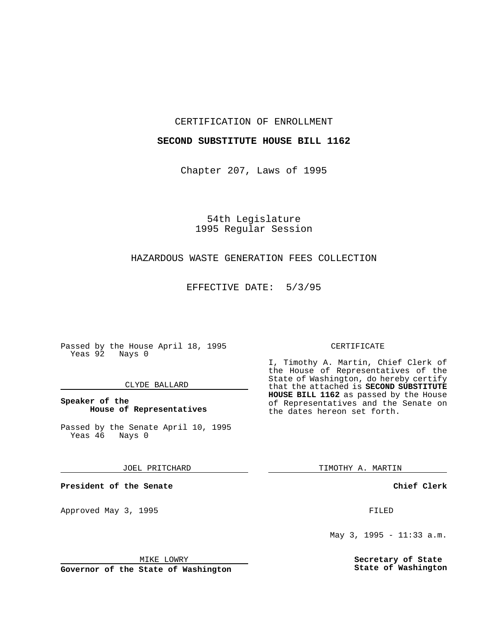### CERTIFICATION OF ENROLLMENT

## **SECOND SUBSTITUTE HOUSE BILL 1162**

Chapter 207, Laws of 1995

54th Legislature 1995 Regular Session

## HAZARDOUS WASTE GENERATION FEES COLLECTION

EFFECTIVE DATE: 5/3/95

Passed by the House April 18, 1995 Yeas 92 Nays 0

### CLYDE BALLARD

## **Speaker of the House of Representatives**

Passed by the Senate April 10, 1995<br>Yeas 46 Nays 0 Yeas 46

JOEL PRITCHARD

**President of the Senate**

Approved May 3, 1995 **FILED** 

#### MIKE LOWRY

**Governor of the State of Washington**

#### CERTIFICATE

I, Timothy A. Martin, Chief Clerk of the House of Representatives of the State of Washington, do hereby certify that the attached is **SECOND SUBSTITUTE HOUSE BILL 1162** as passed by the House of Representatives and the Senate on the dates hereon set forth.

TIMOTHY A. MARTIN

**Chief Clerk**

May 3, 1995 - 11:33 a.m.

**Secretary of State State of Washington**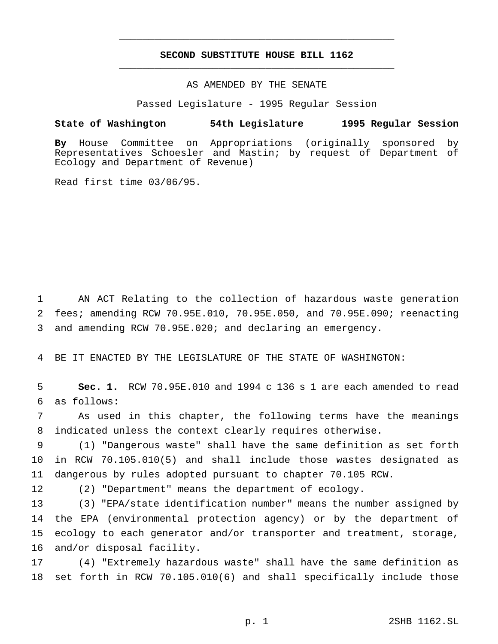# **SECOND SUBSTITUTE HOUSE BILL 1162** \_\_\_\_\_\_\_\_\_\_\_\_\_\_\_\_\_\_\_\_\_\_\_\_\_\_\_\_\_\_\_\_\_\_\_\_\_\_\_\_\_\_\_\_\_\_\_

\_\_\_\_\_\_\_\_\_\_\_\_\_\_\_\_\_\_\_\_\_\_\_\_\_\_\_\_\_\_\_\_\_\_\_\_\_\_\_\_\_\_\_\_\_\_\_

# AS AMENDED BY THE SENATE

Passed Legislature - 1995 Regular Session

#### **State of Washington 54th Legislature 1995 Regular Session**

**By** House Committee on Appropriations (originally sponsored by Representatives Schoesler and Mastin; by request of Department of Ecology and Department of Revenue)

Read first time 03/06/95.

 AN ACT Relating to the collection of hazardous waste generation fees; amending RCW 70.95E.010, 70.95E.050, and 70.95E.090; reenacting and amending RCW 70.95E.020; and declaring an emergency.

BE IT ENACTED BY THE LEGISLATURE OF THE STATE OF WASHINGTON:

 **Sec. 1.** RCW 70.95E.010 and 1994 c 136 s 1 are each amended to read as follows:

 As used in this chapter, the following terms have the meanings indicated unless the context clearly requires otherwise.

 (1) "Dangerous waste" shall have the same definition as set forth in RCW 70.105.010(5) and shall include those wastes designated as dangerous by rules adopted pursuant to chapter 70.105 RCW.

(2) "Department" means the department of ecology.

 (3) "EPA/state identification number" means the number assigned by the EPA (environmental protection agency) or by the department of ecology to each generator and/or transporter and treatment, storage, and/or disposal facility.

 (4) "Extremely hazardous waste" shall have the same definition as set forth in RCW 70.105.010(6) and shall specifically include those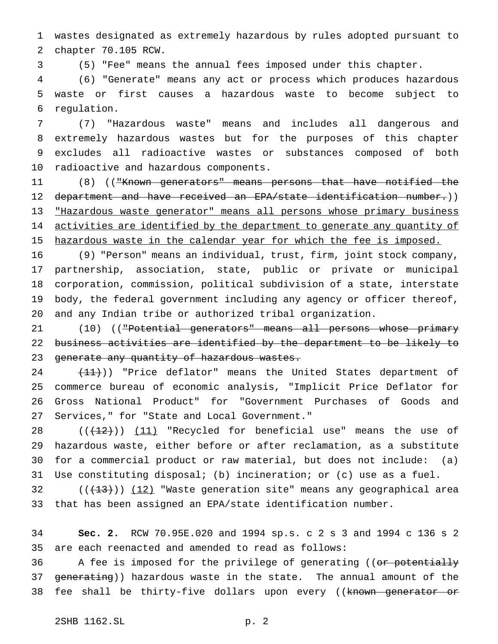wastes designated as extremely hazardous by rules adopted pursuant to chapter 70.105 RCW.

(5) "Fee" means the annual fees imposed under this chapter.

 (6) "Generate" means any act or process which produces hazardous waste or first causes a hazardous waste to become subject to regulation.

 (7) "Hazardous waste" means and includes all dangerous and extremely hazardous wastes but for the purposes of this chapter excludes all radioactive wastes or substances composed of both radioactive and hazardous components.

 (8) (("Known generators" means persons that have notified the department and have received an EPA/state identification number.)) "Hazardous waste generator" means all persons whose primary business 14 activities are identified by the department to generate any quantity of 15 hazardous waste in the calendar year for which the fee is imposed.

 (9) "Person" means an individual, trust, firm, joint stock company, partnership, association, state, public or private or municipal corporation, commission, political subdivision of a state, interstate body, the federal government including any agency or officer thereof, and any Indian tribe or authorized tribal organization.

21 (10) (("Potential generators" means all persons whose primary business activities are identified by the department to be likely to 23 generate any quantity of hazardous wastes.

24 (11)) "Price deflator" means the United States department of commerce bureau of economic analysis, "Implicit Price Deflator for Gross National Product" for "Government Purchases of Goods and Services," for "State and Local Government."

 $((+12))$   $(11)$  "Recycled for beneficial use" means the use of hazardous waste, either before or after reclamation, as a substitute for a commercial product or raw material, but does not include: (a) Use constituting disposal; (b) incineration; or (c) use as a fuel.

 $((+13))$   $(12)$  "Waste generation site" means any geographical area that has been assigned an EPA/state identification number.

 **Sec. 2.** RCW 70.95E.020 and 1994 sp.s. c 2 s 3 and 1994 c 136 s 2 are each reenacted and amended to read as follows:

36 A fee is imposed for the privilege of generating ((or potentially 37 generating)) hazardous waste in the state. The annual amount of the 38 fee shall be thirty-five dollars upon every ((known generator or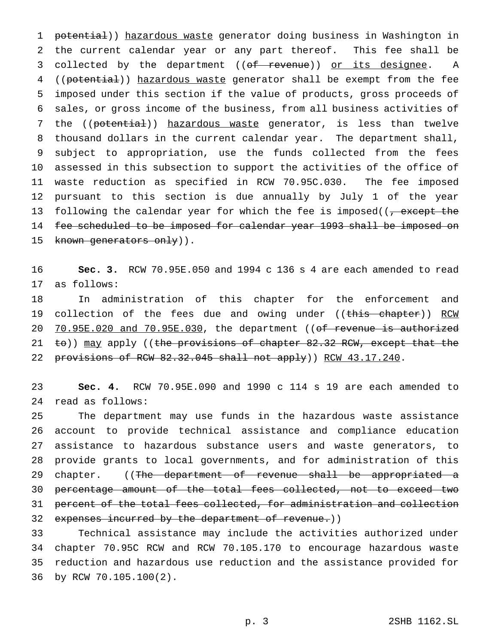1 potential)) hazardous waste generator doing business in Washington in the current calendar year or any part thereof. This fee shall be 3 collected by the department ((of revenue)) or its designee. A ((potential)) hazardous waste generator shall be exempt from the fee imposed under this section if the value of products, gross proceeds of sales, or gross income of the business, from all business activities of 7 the ((potential)) hazardous waste generator, is less than twelve thousand dollars in the current calendar year. The department shall, subject to appropriation, use the funds collected from the fees assessed in this subsection to support the activities of the office of waste reduction as specified in RCW 70.95C.030. The fee imposed pursuant to this section is due annually by July 1 of the year 13 following the calendar year for which the fee is imposed( $\sqrt{7}$  except the 14 fee scheduled to be imposed for calendar year 1993 shall be imposed on 15 known generators only)).

 **Sec. 3.** RCW 70.95E.050 and 1994 c 136 s 4 are each amended to read as follows:

 In administration of this chapter for the enforcement and 19 collection of the fees due and owing under ((this chapter)) RCW 20 70.95E.020 and 70.95E.030, the department ((of revenue is authorized 21 to)) may apply ((the provisions of chapter 82.32 RCW, except that the 22 provisions of RCW 82.32.045 shall not apply)) RCW 43.17.240.

 **Sec. 4.** RCW 70.95E.090 and 1990 c 114 s 19 are each amended to read as follows:

 The department may use funds in the hazardous waste assistance account to provide technical assistance and compliance education assistance to hazardous substance users and waste generators, to provide grants to local governments, and for administration of this 29 chapter. ((The department of revenue shall be appropriated a percentage amount of the total fees collected, not to exceed two percent of the total fees collected, for administration and collection 32 expenses incurred by the department of revenue.))

 Technical assistance may include the activities authorized under chapter 70.95C RCW and RCW 70.105.170 to encourage hazardous waste reduction and hazardous use reduction and the assistance provided for by RCW 70.105.100(2).